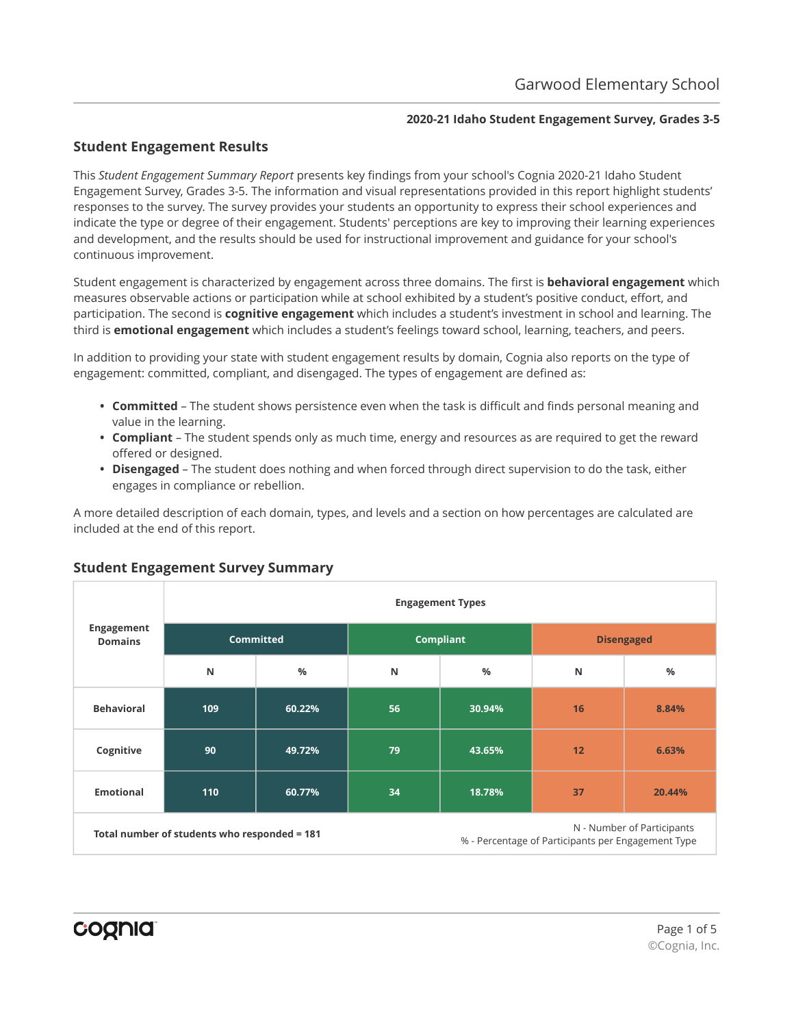## **2020-21 Idaho Student Engagement Survey, Grades 3-5**

# **Student Engagement Results**

This *Student Engagement Summary Report* presents key findings from your school's Cognia 2020-21 Idaho Student Engagement Survey, Grades 3-5. The information and visual representations provided in this report highlight students' responses to the survey. The survey provides your students an opportunity to express their school experiences and indicate the type or degree of their engagement. Students' perceptions are key to improving their learning experiences and development, and the results should be used for instructional improvement and guidance for your school's continuous improvement.

Student engagement is characterized by engagement across three domains. The first is **behavioral engagement** which measures observable actions or participation while at school exhibited by a student's positive conduct, effort, and participation. The second is **cognitive engagement** which includes a student's investment in school and learning. The third is **emotional engagement** which includes a student's feelings toward school, learning, teachers, and peers.

In addition to providing your state with student engagement results by domain, Cognia also reports on the type of engagement: committed, compliant, and disengaged. The types of engagement are defined as:

- **• Committed** The student shows persistence even when the task is difficult and finds personal meaning and value in the learning.
- **• Compliant** The student spends only as much time, energy and resources as are required to get the reward offered or designed.
- **• Disengaged** The student does nothing and when forced through direct supervision to do the task, either engages in compliance or rebellion.

A more detailed description of each domain, types, and levels and a section on how percentages are calculated are included at the end of this report.

|                              |                                              |                  |    | <b>Engagement Types</b> |                                                    |                            |
|------------------------------|----------------------------------------------|------------------|----|-------------------------|----------------------------------------------------|----------------------------|
| Engagement<br><b>Domains</b> |                                              | <b>Committed</b> |    | <b>Compliant</b>        |                                                    | <b>Disengaged</b>          |
|                              | N                                            | $\frac{0}{0}$    | N  | $\frac{9}{6}$           | N                                                  | %                          |
| <b>Behavioral</b>            | 109                                          | 60.22%           | 56 | 30.94%                  | 16                                                 | 8.84%                      |
| Cognitive                    | 90                                           | 49.72%           | 79 | 43.65%                  | 12                                                 | 6.63%                      |
| <b>Emotional</b>             | 110                                          | 60.77%           | 34 | 18.78%                  | 37                                                 | 20.44%                     |
|                              | Total number of students who responded = 181 |                  |    |                         | % - Percentage of Participants per Engagement Type | N - Number of Participants |

# **Student Engagement Survey Summary**

cognia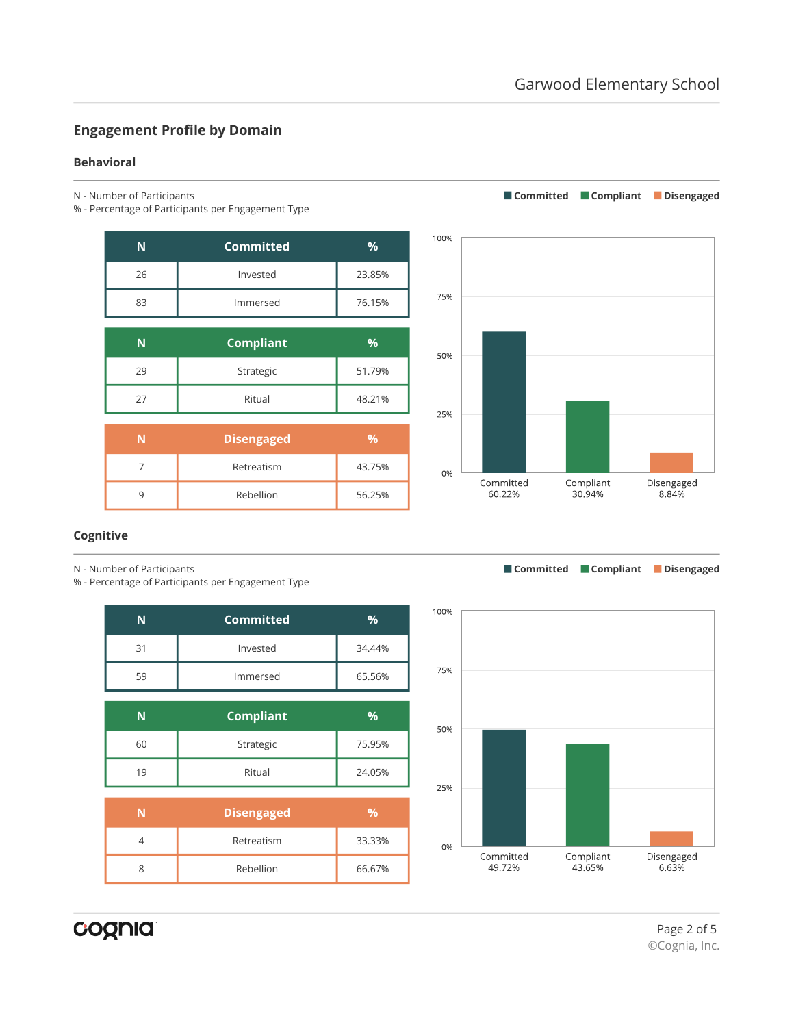**Committed Compliant Disengaged**

# **Engagement Profile by Domain**

#### **Behavioral**

- N Number of Participants
- % Percentage of Participants per Engagement Type

| N              | <b>Committed</b>  | %             |
|----------------|-------------------|---------------|
| 26             | Invested          | 23.85%        |
| 83             | Immersed          | 76.15%        |
|                |                   |               |
| N              | <b>Compliant</b>  | %             |
| 29             | Strategic         | 51.79%        |
| 27             | Ritual            | 48.21%        |
|                |                   |               |
| N              | <b>Disengaged</b> | $\frac{9}{6}$ |
| $\overline{7}$ | Retreatism        | 43.75%        |

9 Rebellion 56.25%



## **Cognitive**

N - Number of Participants

% - Percentage of Participants per Engagement Type

| N  | <b>Committed</b>  | %             |
|----|-------------------|---------------|
| 31 | Invested          | 34.44%        |
| 59 | Immersed          | 65.56%        |
|    |                   |               |
| N  | <b>Compliant</b>  | %             |
| 60 | Strategic         | 75.95%        |
| 19 | Ritual            | 24.05%        |
|    |                   |               |
| N  | <b>Disengaged</b> | $\frac{9}{6}$ |
| 4  | Retreatism        | 33.33%        |
| 8  | Rebellion         | 66.67%        |



**Committed Compliant Disengaged**

cognia

Page 2 of 5 ©Cognia, Inc.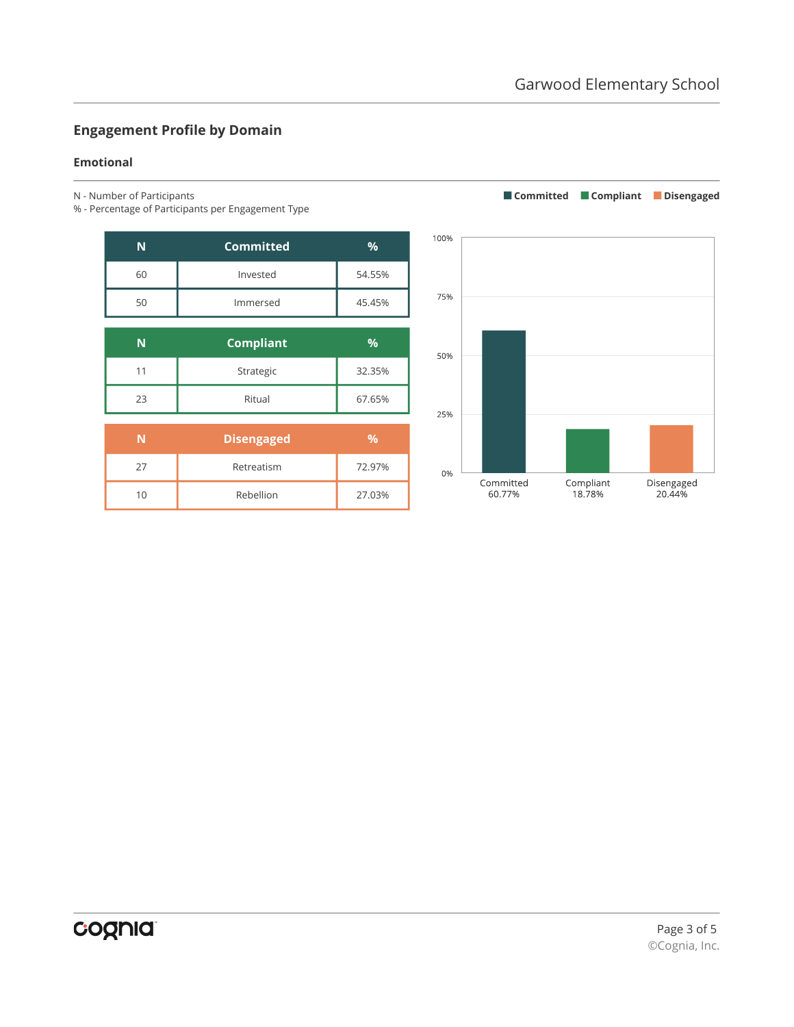**Committed Compliant Disengaged**

# **Engagement Profile by Domain**

#### **Emotional**

- N Number of Participants
- % Percentage of Participants per Engagement Type

| N  | Committed        | %             |
|----|------------------|---------------|
| 60 | Invested         | 54.55%        |
| 50 | Immersed         | 45.45%        |
| N  |                  | $\frac{9}{6}$ |
|    | <b>Compliant</b> |               |
|    | Strategic        | 32.35%        |

| 11 | Strategic         | 32.35%        |
|----|-------------------|---------------|
| 23 | Ritual            | 67.65%        |
|    |                   |               |
|    |                   |               |
| N  | <b>Disengaged</b> | $\frac{9}{6}$ |
| 27 | Retreatism        | 72.97%        |

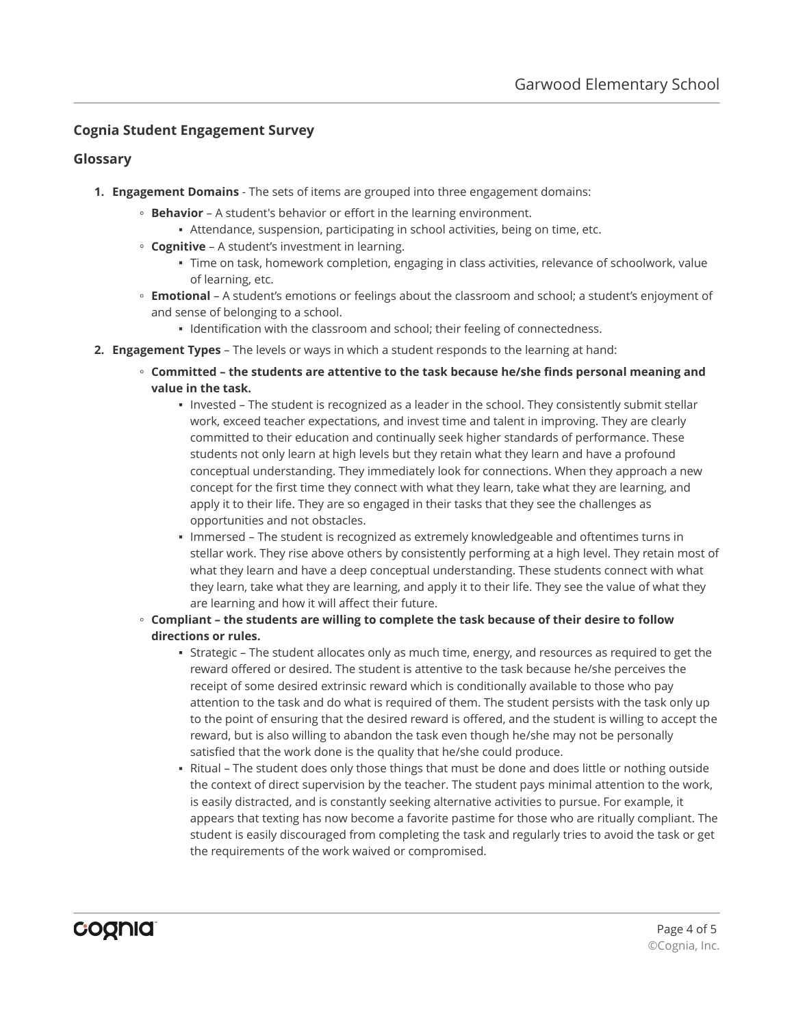## **Cognia Student Engagement Survey**

### **Glossary**

- **1. Engagement Domains** The sets of items are grouped into three engagement domains:
	- **Behavior** A student's behavior or effort in the learning environment.
		- Attendance, suspension, participating in school activities, being on time, etc.
	- **Cognitive** A student's investment in learning.
		- Time on task, homework completion, engaging in class activities, relevance of schoolwork, value of learning, etc.
	- **Emotional** A student's emotions or feelings about the classroom and school; a student's enjoyment of and sense of belonging to a school.
		- Identification with the classroom and school; their feeling of connectedness.
- **2. Engagement Types** The levels or ways in which a student responds to the learning at hand:
	- **Committed the students are attentive to the task because he/she finds personal meaning and value in the task.**
		- Invested The student is recognized as a leader in the school. They consistently submit stellar work, exceed teacher expectations, and invest time and talent in improving. They are clearly committed to their education and continually seek higher standards of performance. These students not only learn at high levels but they retain what they learn and have a profound conceptual understanding. They immediately look for connections. When they approach a new concept for the first time they connect with what they learn, take what they are learning, and apply it to their life. They are so engaged in their tasks that they see the challenges as opportunities and not obstacles.
		- Immersed The student is recognized as extremely knowledgeable and oftentimes turns in stellar work. They rise above others by consistently performing at a high level. They retain most of what they learn and have a deep conceptual understanding. These students connect with what they learn, take what they are learning, and apply it to their life. They see the value of what they are learning and how it will affect their future.
	- **Compliant the students are willing to complete the task because of their desire to follow directions or rules.**
		- Strategic The student allocates only as much time, energy, and resources as required to get the reward offered or desired. The student is attentive to the task because he/she perceives the receipt of some desired extrinsic reward which is conditionally available to those who pay attention to the task and do what is required of them. The student persists with the task only up to the point of ensuring that the desired reward is offered, and the student is willing to accept the reward, but is also willing to abandon the task even though he/she may not be personally satisfied that the work done is the quality that he/she could produce.
		- Ritual The student does only those things that must be done and does little or nothing outside the context of direct supervision by the teacher. The student pays minimal attention to the work, is easily distracted, and is constantly seeking alternative activities to pursue. For example, it appears that texting has now become a favorite pastime for those who are ritually compliant. The student is easily discouraged from completing the task and regularly tries to avoid the task or get the requirements of the work waived or compromised.